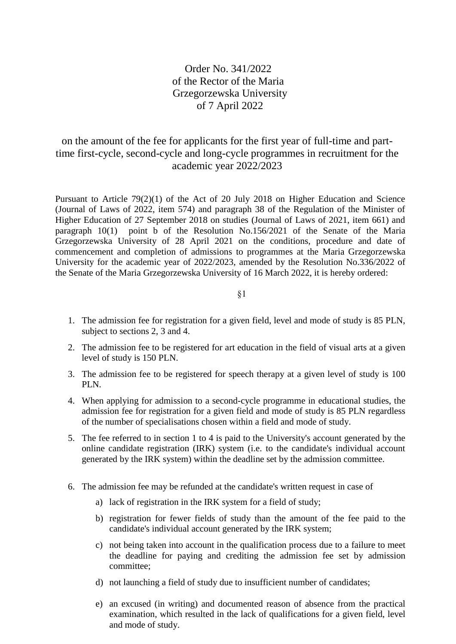## Order No. 341/2022 of the Rector of the Maria Grzegorzewska University of 7 April 2022

## on the amount of the fee for applicants for the first year of full-time and parttime first-cycle, second-cycle and long-cycle programmes in recruitment for the academic year 2022/2023

Pursuant to Article 79(2)(1) of the Act of 20 July 2018 on Higher Education and Science (Journal of Laws of 2022, item 574) and paragraph 38 of the Regulation of the Minister of Higher Education of 27 September 2018 on studies (Journal of Laws of 2021, item 661) and paragraph  $10(1)$  point b of the Resolution No.156/2021 of the Senate of the Maria Grzegorzewska University of 28 April 2021 on the conditions, procedure and date of commencement and completion of admissions to programmes at the Maria Grzegorzewska University for the academic year of 2022/2023, amended by the Resolution No.336/2022 of the Senate of the Maria Grzegorzewska University of 16 March 2022, it is hereby ordered:

§1

- 1. The admission fee for registration for a given field, level and mode of study is 85 PLN, subject to sections 2, 3 and 4.
- 2. The admission fee to be registered for art education in the field of visual arts at a given level of study is 150 PLN.
- 3. The admission fee to be registered for speech therapy at a given level of study is 100 PLN.
- 4. When applying for admission to a second-cycle programme in educational studies, the admission fee for registration for a given field and mode of study is 85 PLN regardless of the number of specialisations chosen within a field and mode of study.
- 5. The fee referred to in section 1 to 4 is paid to the University's account generated by the online candidate registration (IRK) system (i.e. to the candidate's individual account generated by the IRK system) within the deadline set by the admission committee.
- 6. The admission fee may be refunded at the candidate's written request in case of
	- a) lack of registration in the IRK system for a field of study;
	- b) registration for fewer fields of study than the amount of the fee paid to the candidate's individual account generated by the IRK system;
	- c) not being taken into account in the qualification process due to a failure to meet the deadline for paying and crediting the admission fee set by admission committee;
	- d) not launching a field of study due to insufficient number of candidates;
	- e) an excused (in writing) and documented reason of absence from the practical examination, which resulted in the lack of qualifications for a given field, level and mode of study.